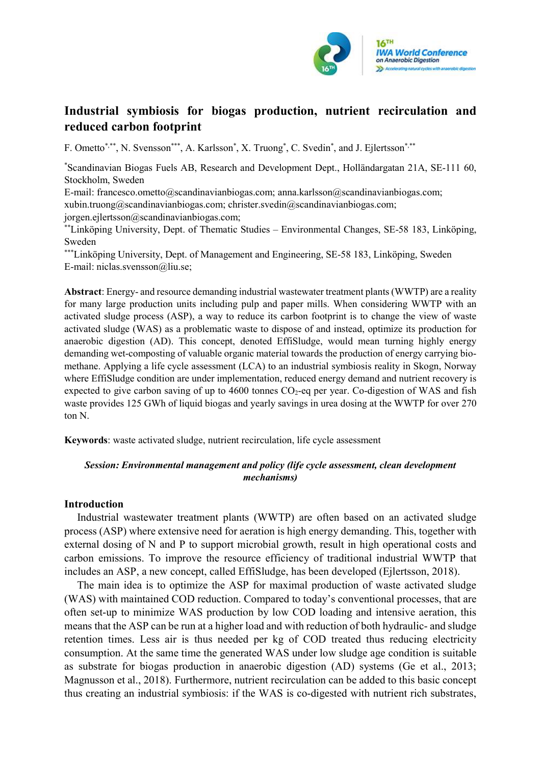

# Industrial symbiosis for biogas production, nutrient recirculation and reduced carbon footprint

F. Ometto\*,\*\*\*, N. Svensson\*\*\*\*, A. Karlsson\*, X. Truong\*, C. Svedin\*, and J. Ejlertsson\*,\*\*\*

\*Scandinavian Biogas Fuels AB, Research and Development Dept., Holländargatan 21A, SE-111 60, Stockholm, Sweden

E-mail: francesco.ometto@scandinavianbiogas.com; anna.karlsson@scandinavianbiogas.com; xubin.truong@scandinavianbiogas.com; christer.svedin@scandinavianbiogas.com; jorgen.ejlertsson@scandinavianbiogas.com;

\*\*Linköping University, Dept. of Thematic Studies – Environmental Changes, SE-58 183, Linköping, Sweden

\*\*\*Linköping University, Dept. of Management and Engineering, SE-58 183, Linköping, Sweden E-mail: niclas.svensson@liu.se;

Abstract: Energy- and resource demanding industrial wastewater treatment plants (WWTP) are a reality for many large production units including pulp and paper mills. When considering WWTP with an activated sludge process (ASP), a way to reduce its carbon footprint is to change the view of waste activated sludge (WAS) as a problematic waste to dispose of and instead, optimize its production for anaerobic digestion (AD). This concept, denoted EffiSludge, would mean turning highly energy demanding wet-composting of valuable organic material towards the production of energy carrying biomethane. Applying a life cycle assessment (LCA) to an industrial symbiosis reality in Skogn, Norway where EffiSludge condition are under implementation, reduced energy demand and nutrient recovery is expected to give carbon saving of up to  $4600$  tonnes  $CO<sub>2</sub>$ -eq per year. Co-digestion of WAS and fish waste provides 125 GWh of liquid biogas and yearly savings in urea dosing at the WWTP for over 270 ton N.

Keywords: waste activated sludge, nutrient recirculation, life cycle assessment

# Session: Environmental management and policy (life cycle assessment, clean development mechanisms)

## Introduction

Industrial wastewater treatment plants (WWTP) are often based on an activated sludge process (ASP) where extensive need for aeration is high energy demanding. This, together with external dosing of N and P to support microbial growth, result in high operational costs and carbon emissions. To improve the resource efficiency of traditional industrial WWTP that includes an ASP, a new concept, called EffiSludge, has been developed (Ejlertsson, 2018).

The main idea is to optimize the ASP for maximal production of waste activated sludge (WAS) with maintained COD reduction. Compared to today's conventional processes, that are often set-up to minimize WAS production by low COD loading and intensive aeration, this means that the ASP can be run at a higher load and with reduction of both hydraulic- and sludge retention times. Less air is thus needed per kg of COD treated thus reducing electricity consumption. At the same time the generated WAS under low sludge age condition is suitable as substrate for biogas production in anaerobic digestion (AD) systems (Ge et al., 2013; Magnusson et al., 2018). Furthermore, nutrient recirculation can be added to this basic concept thus creating an industrial symbiosis: if the WAS is co-digested with nutrient rich substrates,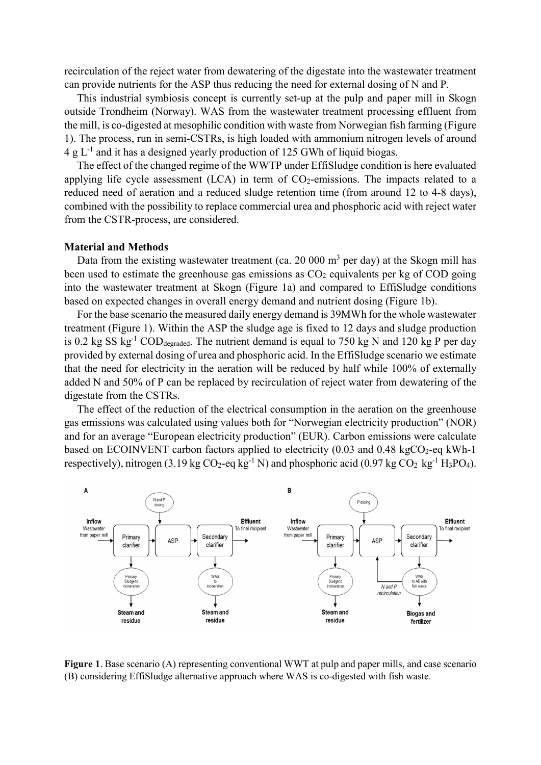recirculation of the reject water from dewatering of the digestate into the wastewater treatment can provide nutrients for the ASP thus reducing the need for external dosing of N and P.

This industrial symbiosis concept is currently set-up at the pulp and paper mill in Skogn outside Trondheim (Norway). WAS from the wastewater treatment processing effluent from the mill, is co-digested at mesophilic condition with waste from Norwegian fish farming (Figure 1). The process, run in semi-CSTRs, is high loaded with ammonium nitrogen levels of around  $4 g L<sup>-1</sup>$  and it has a designed yearly production of 125 GWh of liquid biogas.

The effect of the changed regime of the WWTP under EffiSludge condition is here evaluated applying life cycle assessment  $(ICA)$  in term of  $CO<sub>2</sub>$ -emissions. The impacts related to a reduced need of aeration and a reduced sludge retention time (from around 12 to 4-8 days), combined with the possibility to replace commercial urea and phosphoric acid with reject water from the CSTR-process, are considered.

#### Material and Methods

Data from the existing wastewater treatment (ca. 20 000  $m<sup>3</sup>$  per day) at the Skogn mill has been used to estimate the greenhouse gas emissions as  $CO<sub>2</sub>$  equivalents per kg of  $CO<sub>D</sub>$  going into the wastewater treatment at Skogn (Figure 1a) and compared to EffiSludge conditions based on expected changes in overall energy demand and nutrient dosing (Figure 1b).

For the base scenario the measured daily energy demand is 39MWh for the whole wastewater treatment (Figure 1). Within the ASP the sludge age is fixed to 12 days and sludge production is 0.2 kg SS kg<sup>-1</sup> COD<sub>degraded</sub>. The nutrient demand is equal to 750 kg N and 120 kg P per day provided by external dosing of urea and phosphoric acid. In the EffiSludge scenario we estimate that the need for electricity in the aeration will be reduced by half while 100% of externally added N and 50% of P can be replaced by recirculation of reject water from dewatering of the digestate from the CSTRs.

The effect of the reduction of the electrical consumption in the aeration on the greenhouse gas emissions was calculated using values both for "Norwegian electricity production" (NOR) and for an average "European electricity production" (EUR). Carbon emissions were calculate based on ECOINVENT carbon factors applied to electricity  $(0.03 \text{ and } 0.48 \text{ kgCO}_2\text{-eq kWh-1})$ respectively), nitrogen (3.19 kg  $CO_2$ -eq kg<sup>-1</sup> N) and phosphoric acid (0.97 kg  $CO_2$  kg<sup>-1</sup> H<sub>3</sub>PO<sub>4</sub>).



Figure 1. Base scenario (A) representing conventional WWT at pulp and paper mills, and case scenario (B) considering EffiSludge alternative approach where WAS is co-digested with fish waste.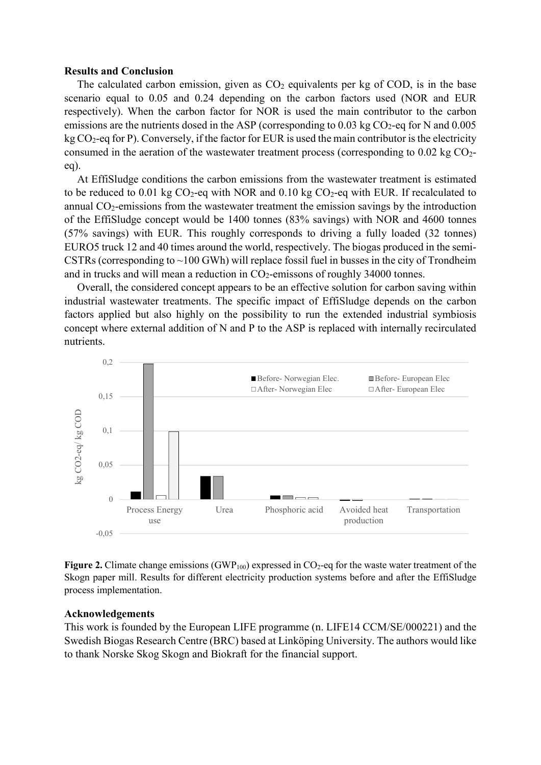### Results and Conclusion

The calculated carbon emission, given as  $CO<sub>2</sub>$  equivalents per kg of COD, is in the base scenario equal to 0.05 and 0.24 depending on the carbon factors used (NOR and EUR respectively). When the carbon factor for NOR is used the main contributor to the carbon emissions are the nutrients dosed in the ASP (corresponding to  $0.03 \text{ kg CO}_2$ -eq for N and  $0.005$ )  $kg CO<sub>2</sub>$ -eq for P). Conversely, if the factor for EUR is used the main contributor is the electricity consumed in the aeration of the wastewater treatment process (corresponding to  $0.02 \text{ kg CO}_2$ eq).

At EffiSludge conditions the carbon emissions from the wastewater treatment is estimated to be reduced to 0.01 kg  $CO_2$ -eq with NOR and 0.10 kg  $CO_2$ -eq with EUR. If recalculated to annual CO2-emissions from the wastewater treatment the emission savings by the introduction of the EffiSludge concept would be 1400 tonnes (83% savings) with NOR and 4600 tonnes (57% savings) with EUR. This roughly corresponds to driving a fully loaded (32 tonnes) EURO5 truck 12 and 40 times around the world, respectively. The biogas produced in the semi-CSTRs (corresponding to  $\sim$ 100 GWh) will replace fossil fuel in busses in the city of Trondheim and in trucks and will mean a reduction in  $CO<sub>2</sub>$ -emissons of roughly 34000 tonnes.

Overall, the considered concept appears to be an effective solution for carbon saving within industrial wastewater treatments. The specific impact of EffiSludge depends on the carbon factors applied but also highly on the possibility to run the extended industrial symbiosis concept where external addition of N and P to the ASP is replaced with internally recirculated nutrients.



Figure 2. Climate change emissions (GWP<sub>100</sub>) expressed in  $CO_2$ -eq for the waste water treatment of the Skogn paper mill. Results for different electricity production systems before and after the EffiSludge process implementation.

## Acknowledgements

This work is founded by the European LIFE programme (n. LIFE14 CCM/SE/000221) and the Swedish Biogas Research Centre (BRC) based at Linköping University. The authors would like to thank Norske Skog Skogn and Biokraft for the financial support.